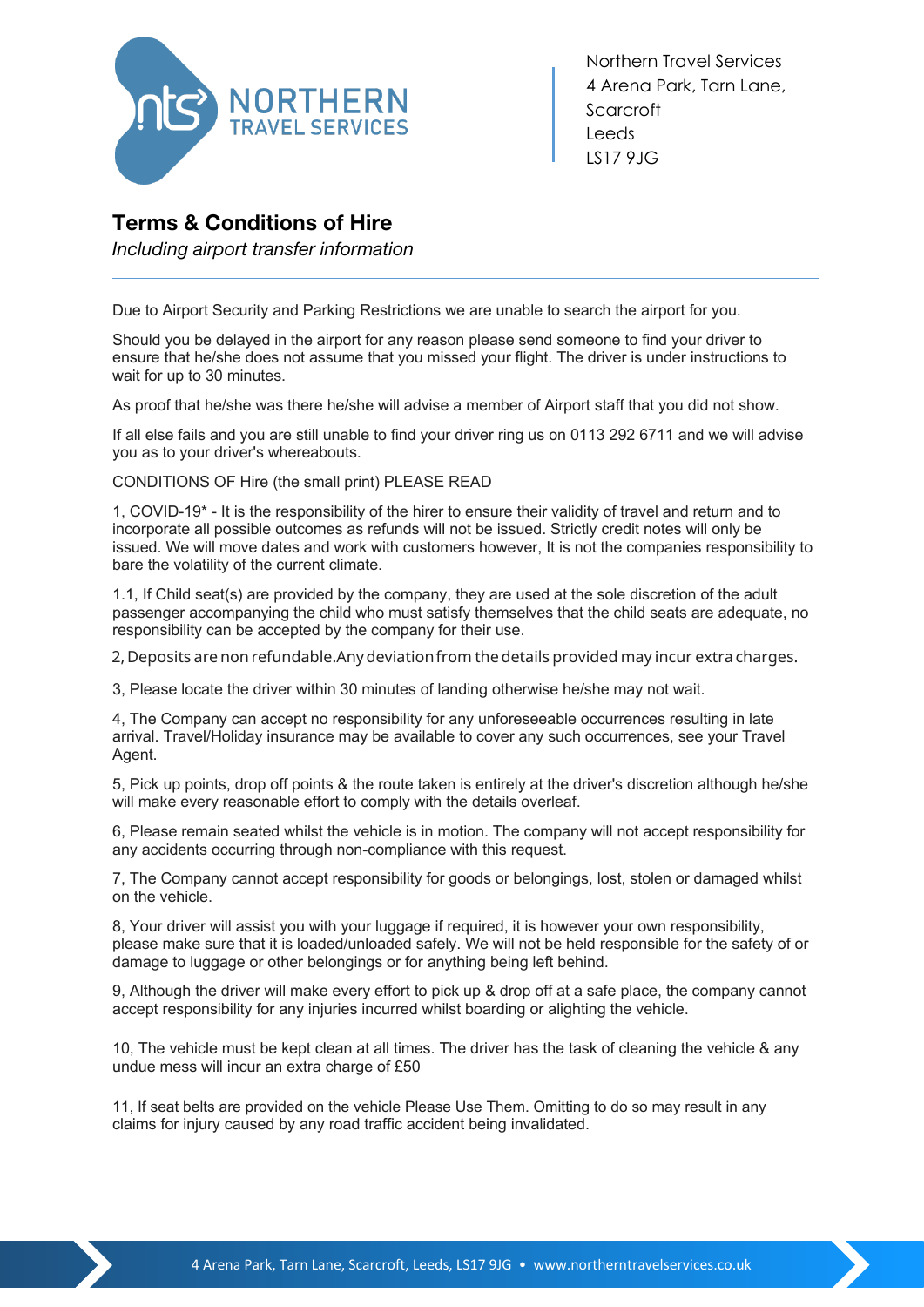

Northern Travel Services 4 Arena Park, Tarn Lane, **Scarcroft** Leeds LS17 9JG

## **Terms & Conditions of Hire**

*Including airport transfer information*

Due to Airport Security and Parking Restrictions we are unable to search the airport for you.

Should you be delayed in the airport for any reason please send someone to find your driver to ensure that he/she does not assume that you missed your flight. The driver is under instructions to wait for up to 30 minutes.

As proof that he/she was there he/she will advise a member of Airport staff that you did not show.

If all else fails and you are still unable to find your driver ring us on 0113 292 6711 and we will advise you as to your driver's whereabouts.

CONDITIONS OF Hire (the small print) PLEASE READ

1, COVID-19\* - It is the responsibility of the hirer to ensure their validity of travel and return and to incorporate all possible outcomes as refunds will not be issued. Strictly credit notes will only be issued. We will move dates and work with customers however, It is not the companies responsibility to bare the volatility of the current climate.

1.1, If Child seat(s) are provided by the company, they are used at the sole discretion of the adult passenger accompanying the child who must satisfy themselves that the child seats are adequate, no responsibility can be accepted by the company for their use.

2, Deposits arenonrefundable.Anydeviationfrom thedetails provided may incur extra charges.

3, Please locate the driver within 30 minutes of landing otherwise he/she may not wait.

4, The Company can accept no responsibility for any unforeseeable occurrences resulting in late arrival. Travel/Holiday insurance may be available to cover any such occurrences, see your Travel Agent.

5, Pick up points, drop off points & the route taken is entirely at the driver's discretion although he/she will make every reasonable effort to comply with the details overleaf.

6, Please remain seated whilst the vehicle is in motion. The company will not accept responsibility for any accidents occurring through non-compliance with this request.

7, The Company cannot accept responsibility for goods or belongings, lost, stolen or damaged whilst on the vehicle.

8, Your driver will assist you with your luggage if required, it is however your own responsibility, please make sure that it is loaded/unloaded safely. We will not be held responsible for the safety of or damage to luggage or other belongings or for anything being left behind.

9, Although the driver will make every effort to pick up & drop off at a safe place, the company cannot accept responsibility for any injuries incurred whilst boarding or alighting the vehicle.

10, The vehicle must be kept clean at all times. The driver has the task of cleaning the vehicle & any undue mess will incur an extra charge of £50

11, If seat belts are provided on the vehicle Please Use Them. Omitting to do so may result in any 11, If seat belts are provided on the vehicle Please Use Them. Omitting to do so may result in any claims for injury caused by any road traffic accident being invalidated.